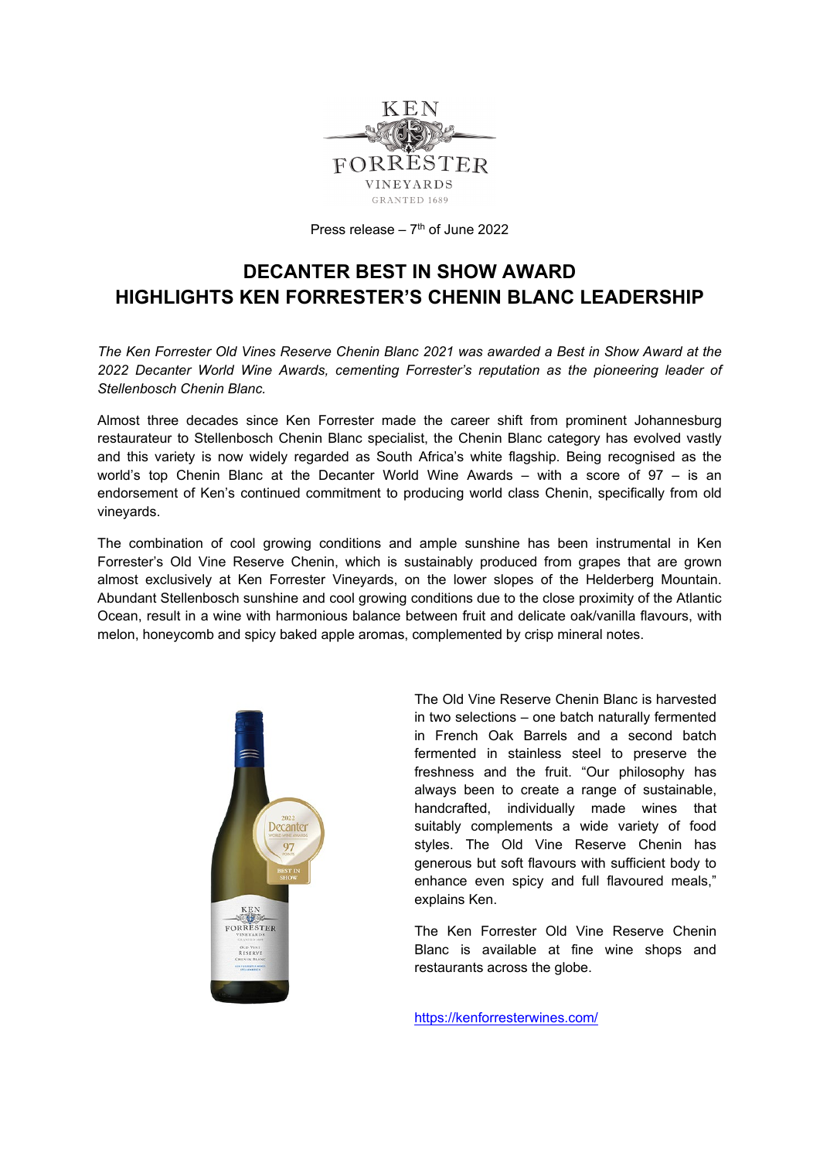

Press release –  $7<sup>th</sup>$  of June 2022

## **DECANTER BEST IN SHOW AWARD HIGHLIGHTS KEN FORRESTER'S CHENIN BLANC LEADERSHIP**

*The Ken Forrester Old Vines Reserve Chenin Blanc 2021 was awarded a Best in Show Award at the 2022 Decanter World Wine Awards, cementing Forrester's reputation as the pioneering leader of Stellenbosch Chenin Blanc.*

Almost three decades since Ken Forrester made the career shift from prominent Johannesburg restaurateur to Stellenbosch Chenin Blanc specialist, the Chenin Blanc category has evolved vastly and this variety is now widely regarded as South Africa's white flagship. Being recognised as the world's top Chenin Blanc at the Decanter World Wine Awards – with a score of 97 – is an endorsement of Ken's continued commitment to producing world class Chenin, specifically from old vineyards.

The combination of cool growing conditions and ample sunshine has been instrumental in Ken Forrester's Old Vine Reserve Chenin, which is sustainably produced from grapes that are grown almost exclusively at Ken Forrester Vineyards, on the lower slopes of the Helderberg Mountain. Abundant Stellenbosch sunshine and cool growing conditions due to the close proximity of the Atlantic Ocean, result in a wine with harmonious balance between fruit and delicate oak/vanilla flavours, with melon, honeycomb and spicy baked apple aromas, complemented by crisp mineral notes.



The Old Vine Reserve Chenin Blanc is harvested in two selections – one batch naturally fermented in French Oak Barrels and a second batch fermented in stainless steel to preserve the freshness and the fruit. "Our philosophy has always been to create a range of sustainable, handcrafted, individually made wines that suitably complements a wide variety of food styles. The Old Vine Reserve Chenin has generous but soft flavours with sufficient body to enhance even spicy and full flavoured meals," explains Ken.

The Ken Forrester Old Vine Reserve Chenin Blanc is available at fine wine shops and restaurants across the globe.

<https://kenforresterwines.com/>